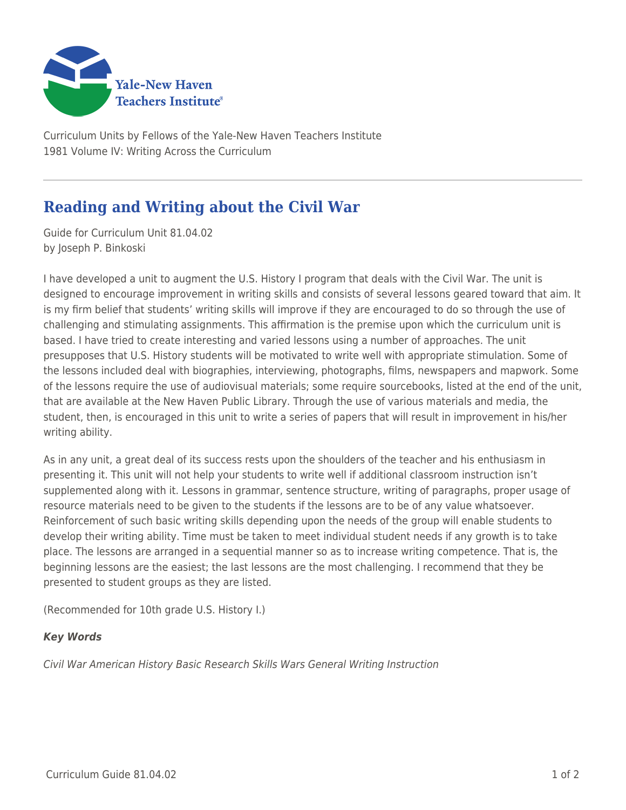

Curriculum Units by Fellows of the Yale-New Haven Teachers Institute 1981 Volume IV: Writing Across the Curriculum

## **Reading and Writing about the Civil War**

Guide for Curriculum Unit 81.04.02 by Joseph P. Binkoski

I have developed a unit to augment the U.S. History I program that deals with the Civil War. The unit is designed to encourage improvement in writing skills and consists of several lessons geared toward that aim. It is my firm belief that students' writing skills will improve if they are encouraged to do so through the use of challenging and stimulating assignments. This affirmation is the premise upon which the curriculum unit is based. I have tried to create interesting and varied lessons using a number of approaches. The unit presupposes that U.S. History students will be motivated to write well with appropriate stimulation. Some of the lessons included deal with biographies, interviewing, photographs, films, newspapers and mapwork. Some of the lessons require the use of audiovisual materials; some require sourcebooks, listed at the end of the unit, that are available at the New Haven Public Library. Through the use of various materials and media, the student, then, is encouraged in this unit to write a series of papers that will result in improvement in his/her writing ability.

As in any unit, a great deal of its success rests upon the shoulders of the teacher and his enthusiasm in presenting it. This unit will not help your students to write well if additional classroom instruction isn't supplemented along with it. Lessons in grammar, sentence structure, writing of paragraphs, proper usage of resource materials need to be given to the students if the lessons are to be of any value whatsoever. Reinforcement of such basic writing skills depending upon the needs of the group will enable students to develop their writing ability. Time must be taken to meet individual student needs if any growth is to take place. The lessons are arranged in a sequential manner so as to increase writing competence. That is, the beginning lessons are the easiest; the last lessons are the most challenging. I recommend that they be presented to student groups as they are listed.

(Recommended for 10th grade U.S. History I.)

## *Key Words*

Civil War American History Basic Research Skills Wars General Writing Instruction